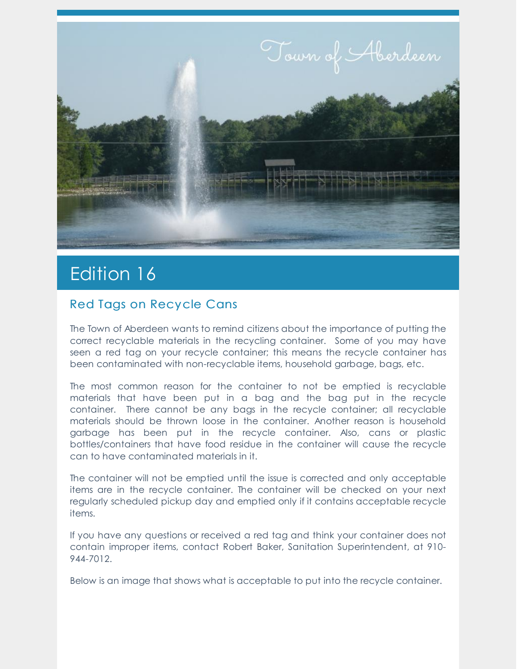

# Edition 16

### Red Tags on Recycle Cans

The Town of Aberdeen wants to remind citizens about the importance of putting the correct recyclable materials in the recycling container. Some of you may have seen a red tag on your recycle container; this means the recycle container has been contaminated with non-recyclable items, household garbage, bags, etc.

The most common reason for the container to not be emptied is recyclable materials that have been put in a bag and the bag put in the recycle container. There cannot be any bags in the recycle container; all recyclable materials should be thrown loose in the container. Another reason is household garbage has been put in the recycle container. Also, cans or plastic bottles/containers that have food residue in the container will cause the recycle can to have contaminated materials in it.

The container will not be emptied until the issue is corrected and only acceptable items are in the recycle container. The container will be checked on your next regularly scheduled pickup day and emptied only if it contains acceptable recycle items.

If you have any questions or received a red tag and think your container does not contain improper items, contact Robert Baker, Sanitation Superintendent, at 910- 944-7012.

Below is an image that shows what is acceptable to put into the recycle container.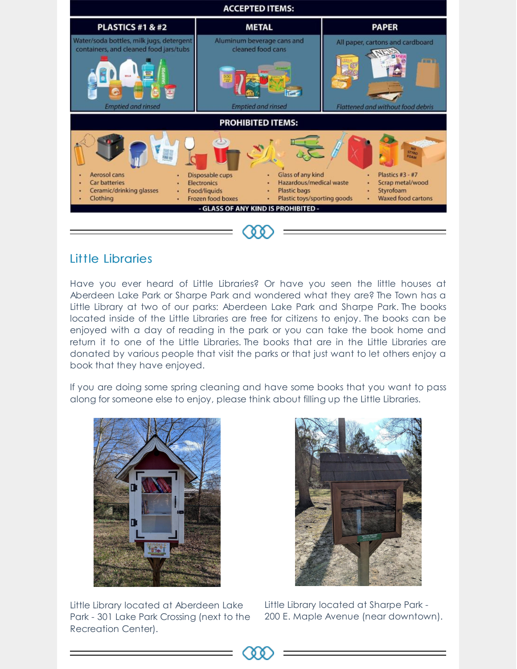

#### Little Libraries

Have you ever heard of Little Libraries? Or have you seen the little houses at Aberdeen Lake Park or Sharpe Park and wondered what they are? The Town has a Little Library at two of our parks: Aberdeen Lake Park and Sharpe Park. The books located inside of the Little Libraries are free for citizens to enjoy. The books can be enjoyed with a day of reading in the park or you can take the book home and return it to one of the Little Libraries. The books that are in the Little Libraries are donated by various people that visit the parks or that just want to let others enjoy a book that they have enjoyed.

If you are doing some spring cleaning and have some books that you want to pass along for someone else to enjoy, please think about filling up the Little Libraries.



Little Library located at Aberdeen Lake Park - 301 Lake Park Crossing (next to the Recreation Center).



Little Library located at Sharpe Park - 200 E. Maple Avenue (near downtown).